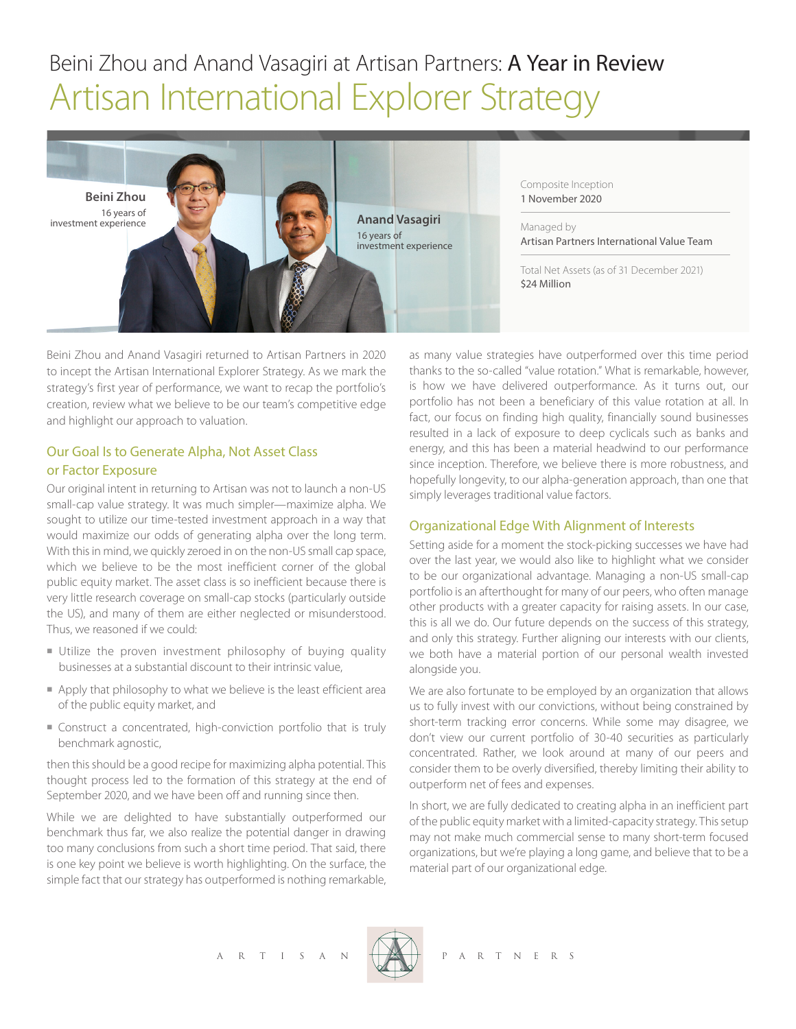# Beini Zhou and Anand Vasagiri at Artisan Partners: A Year in Review Artisan International Explorer Strategy



Composite Inception 1 November 2020

Managed by Artisan Partners International Value Team

Total Net Assets (as of 31 December 2021) \$24 Million

Beini Zhou and Anand Vasagiri returned to Artisan Partners in 2020 to incept the Artisan International Explorer Strategy. As we mark the strategy's first year of performance, we want to recap the portfolio's creation, review what we believe to be our team's competitive edge and highlight our approach to valuation.

# Our Goal Is to Generate Alpha, Not Asset Class or Factor Exposure

Our original intent in returning to Artisan was not to launch a non-US small-cap value strategy. It was much simpler—maximize alpha. We sought to utilize our time-tested investment approach in a way that would maximize our odds of generating alpha over the long term. With this in mind, we quickly zeroed in on the non-US small cap space, which we believe to be the most inefficient corner of the global public equity market. The asset class is so inefficient because there is very little research coverage on small-cap stocks (particularly outside the US), and many of them are either neglected or misunderstood. Thus, we reasoned if we could:

- Utilize the proven investment philosophy of buying quality businesses at a substantial discount to their intrinsic value,
- $\blacksquare$  Apply that philosophy to what we believe is the least efficient area of the public equity market, and
- Construct a concentrated, high-conviction portfolio that is truly benchmark agnostic,

then this should be a good recipe for maximizing alpha potential. This thought process led to the formation of this strategy at the end of September 2020, and we have been off and running since then.

While we are delighted to have substantially outperformed our benchmark thus far, we also realize the potential danger in drawing too many conclusions from such a short time period. That said, there is one key point we believe is worth highlighting. On the surface, the simple fact that our strategy has outperformed is nothing remarkable,

as many value strategies have outperformed over this time period thanks to the so-called "value rotation." What is remarkable, however, is how we have delivered outperformance. As it turns out, our portfolio has not been a beneficiary of this value rotation at all. In fact, our focus on finding high quality, financially sound businesses resulted in a lack of exposure to deep cyclicals such as banks and energy, and this has been a material headwind to our performance since inception. Therefore, we believe there is more robustness, and hopefully longevity, to our alpha-generation approach, than one that simply leverages traditional value factors.

# Organizational Edge With Alignment of Interests

Setting aside for a moment the stock-picking successes we have had over the last year, we would also like to highlight what we consider to be our organizational advantage. Managing a non-US small-cap portfolio is an afterthought for many of our peers, who often manage other products with a greater capacity for raising assets. In our case, this is all we do. Our future depends on the success of this strategy, and only this strategy. Further aligning our interests with our clients, we both have a material portion of our personal wealth invested alongside you.

We are also fortunate to be employed by an organization that allows us to fully invest with our convictions, without being constrained by short-term tracking error concerns. While some may disagree, we don't view our current portfolio of 30-40 securities as particularly concentrated. Rather, we look around at many of our peers and consider them to be overly diversified, thereby limiting their ability to outperform net of fees and expenses.

In short, we are fully dedicated to creating alpha in an inefficient part of the public equity market with a limited-capacity strategy. This setup may not make much commercial sense to many short-term focused organizations, but we're playing a long game, and believe that to be a material part of our organizational edge.

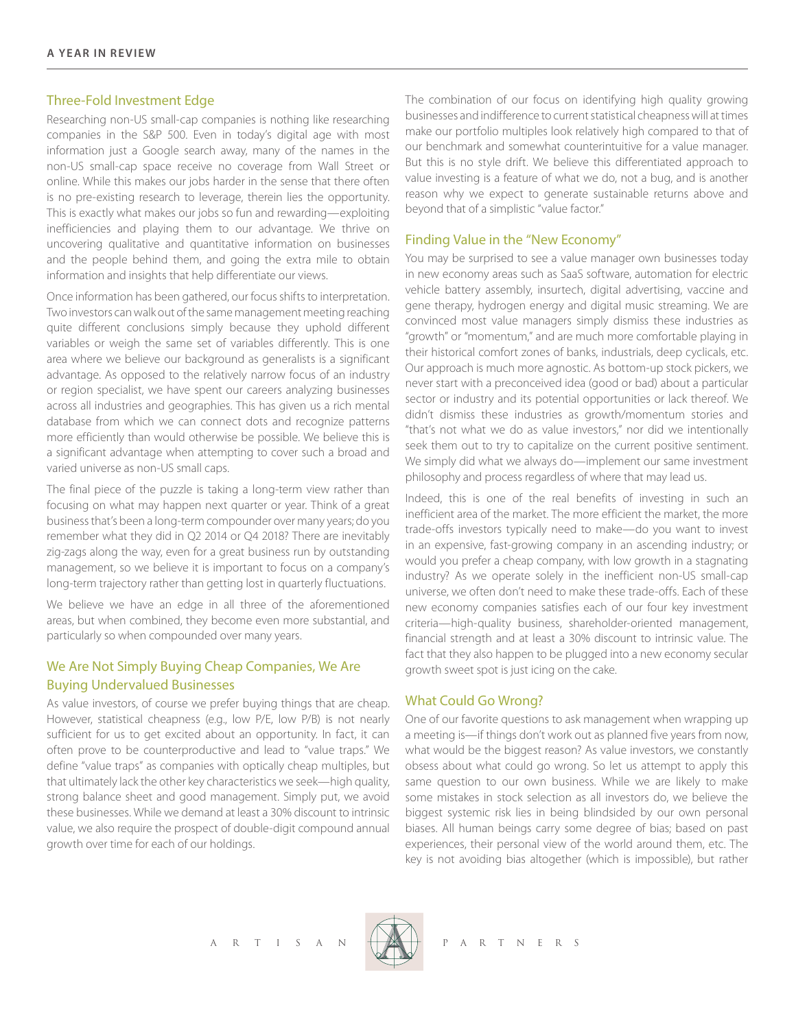### Three-Fold Investment Edge

Researching non-US small-cap companies is nothing like researching companies in the S&P 500. Even in today's digital age with most information just a Google search away, many of the names in the non-US small-cap space receive no coverage from Wall Street or online. While this makes our jobs harder in the sense that there often is no pre-existing research to leverage, therein lies the opportunity. This is exactly what makes our jobs so fun and rewarding—exploiting inefficiencies and playing them to our advantage. We thrive on uncovering qualitative and quantitative information on businesses and the people behind them, and going the extra mile to obtain information and insights that help differentiate our views.

Once information has been gathered, our focus shifts to interpretation. Two investors can walk out of the same management meeting reaching quite different conclusions simply because they uphold different variables or weigh the same set of variables differently. This is one area where we believe our background as generalists is a significant advantage. As opposed to the relatively narrow focus of an industry or region specialist, we have spent our careers analyzing businesses across all industries and geographies. This has given us a rich mental database from which we can connect dots and recognize patterns more efficiently than would otherwise be possible. We believe this is a significant advantage when attempting to cover such a broad and varied universe as non-US small caps.

The final piece of the puzzle is taking a long-term view rather than focusing on what may happen next quarter or year. Think of a great business that's been a long-term compounder over many years; do you remember what they did in Q2 2014 or Q4 2018? There are inevitably zig-zags along the way, even for a great business run by outstanding management, so we believe it is important to focus on a company's long-term trajectory rather than getting lost in quarterly fluctuations.

We believe we have an edge in all three of the aforementioned areas, but when combined, they become even more substantial, and particularly so when compounded over many years.

# We Are Not Simply Buying Cheap Companies, We Are Buying Undervalued Businesses

As value investors, of course we prefer buying things that are cheap. However, statistical cheapness (e.g., low P/E, low P/B) is not nearly sufficient for us to get excited about an opportunity. In fact, it can often prove to be counterproductive and lead to "value traps." We define "value traps" as companies with optically cheap multiples, but that ultimately lack the other key characteristics we seek—high quality, strong balance sheet and good management. Simply put, we avoid these businesses. While we demand at least a 30% discount to intrinsic value, we also require the prospect of double-digit compound annual growth over time for each of our holdings.

The combination of our focus on identifying high quality growing businesses and indifference to current statistical cheapness will at times make our portfolio multiples look relatively high compared to that of our benchmark and somewhat counterintuitive for a value manager. But this is no style drift. We believe this differentiated approach to value investing is a feature of what we do, not a bug, and is another reason why we expect to generate sustainable returns above and beyond that of a simplistic "value factor."

#### Finding Value in the "New Economy"

You may be surprised to see a value manager own businesses today in new economy areas such as SaaS software, automation for electric vehicle battery assembly, insurtech, digital advertising, vaccine and gene therapy, hydrogen energy and digital music streaming. We are convinced most value managers simply dismiss these industries as "growth" or "momentum," and are much more comfortable playing in their historical comfort zones of banks, industrials, deep cyclicals, etc. Our approach is much more agnostic. As bottom-up stock pickers, we never start with a preconceived idea (good or bad) about a particular sector or industry and its potential opportunities or lack thereof. We didn't dismiss these industries as growth/momentum stories and "that's not what we do as value investors," nor did we intentionally seek them out to try to capitalize on the current positive sentiment. We simply did what we always do—implement our same investment philosophy and process regardless of where that may lead us.

Indeed, this is one of the real benefits of investing in such an inefficient area of the market. The more efficient the market, the more trade-offs investors typically need to make—do you want to invest in an expensive, fast-growing company in an ascending industry; or would you prefer a cheap company, with low growth in a stagnating industry? As we operate solely in the inefficient non-US small-cap universe, we often don't need to make these trade-offs. Each of these new economy companies satisfies each of our four key investment criteria—high-quality business, shareholder-oriented management, financial strength and at least a 30% discount to intrinsic value. The fact that they also happen to be plugged into a new economy secular growth sweet spot is just icing on the cake.

## What Could Go Wrong?

One of our favorite questions to ask management when wrapping up a meeting is—if things don't work out as planned five years from now, what would be the biggest reason? As value investors, we constantly obsess about what could go wrong. So let us attempt to apply this same question to our own business. While we are likely to make some mistakes in stock selection as all investors do, we believe the biggest systemic risk lies in being blindsided by our own personal biases. All human beings carry some degree of bias; based on past experiences, their personal view of the world around them, etc. The key is not avoiding bias altogether (which is impossible), but rather

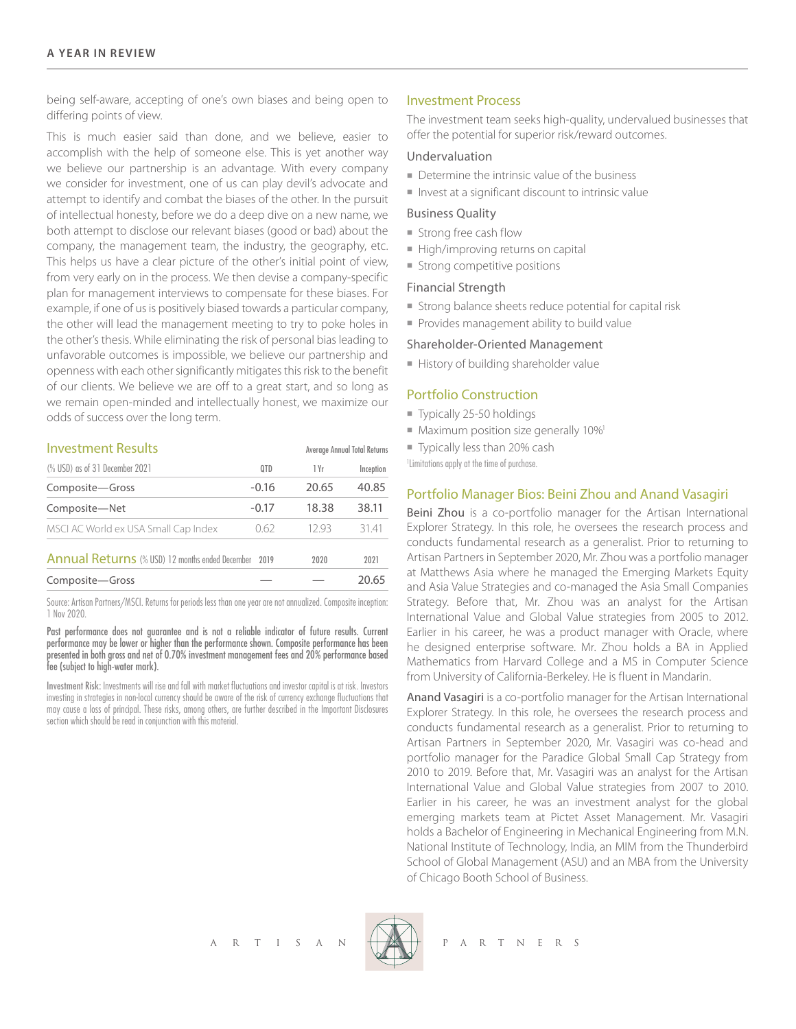being self-aware, accepting of one's own biases and being open to differing points of view.

This is much easier said than done, and we believe, easier to accomplish with the help of someone else. This is yet another way we believe our partnership is an advantage. With every company we consider for investment, one of us can play devil's advocate and attempt to identify and combat the biases of the other. In the pursuit of intellectual honesty, before we do a deep dive on a new name, we both attempt to disclose our relevant biases (good or bad) about the company, the management team, the industry, the geography, etc. This helps us have a clear picture of the other's initial point of view, from very early on in the process. We then devise a company-specific plan for management interviews to compensate for these biases. For example, if one of us is positively biased towards a particular company, the other will lead the management meeting to try to poke holes in the other's thesis. While eliminating the risk of personal bias leading to unfavorable outcomes is impossible, we believe our partnership and openness with each other significantly mitigates this risk to the benefit of our clients. We believe we are off to a great start, and so long as we remain open-minded and intellectually honest, we maximize our odds of success over the long term.

| <b>Investment Results</b>                                              |         | Average Annual Total Returns |           |
|------------------------------------------------------------------------|---------|------------------------------|-----------|
| (% USD) as of 31 December 2021                                         | 0TD     | 1 Yr                         | Inception |
| Composite-Gross                                                        | $-0.16$ | 20.65                        | 40.85     |
| Composite-Net                                                          | $-0.17$ | 18.38                        | 38.11     |
| MSCI AC World ex USA Small Cap Index                                   | 0.62    | 1293                         | 3141      |
| <b>Annual Returns</b> (% USD) 12 months ended December<br>2019<br>2020 |         |                              | 2021      |
| Composite-Gross                                                        |         |                              | 20.65     |

Source: Artisan Partners/MSCI. Returns for periods less than one year are not annualized. Composite inception: 1 Nov 2020.

Past performance does not guarantee and is not a reliable indicator of future results. Current performance may be lower or higher than the performance shown. Composite performance has been presented in both gross and net of 0.70% investment management fees and 20% performance based fee (subject to high-water mark).

Investment Risk: Investments will rise and fall with market fluctuations and investor capital is at risk. Investors investing in strategies in non-local currency should be aware of the risk of currency exchange fluctuations that may cause a loss of principal. These risks, among others, are further described in the Important Disclosures section which should be read in conjunction with this material.

## Investment Process

The investment team seeks high-quality, undervalued businesses that offer the potential for superior risk/reward outcomes.

#### Undervaluation

- $\blacksquare$  Determine the intrinsic value of the business
- Invest at a significant discount to intrinsic value

#### Business Quality

- **n** Strong free cash flow
- High/improving returns on capital
- $\blacksquare$  Strong competitive positions

#### Financial Strength

- Strong balance sheets reduce potential for capital risk
- Provides management ability to build value

#### Shareholder-Oriented Management

History of building shareholder value

#### Portfolio Construction

- $\blacksquare$  Typically 25-50 holdings
- $\blacksquare$  Maximum position size generally 10%<sup>1</sup>
- Typically less than 20% cash

1 Limitations apply at the time of purchase.

#### Portfolio Manager Bios: Beini Zhou and Anand Vasagiri

Beini Zhou is a co-portfolio manager for the Artisan International Explorer Strategy. In this role, he oversees the research process and conducts fundamental research as a generalist. Prior to returning to Artisan Partners in September 2020, Mr. Zhou was a portfolio manager at Matthews Asia where he managed the Emerging Markets Equity and Asia Value Strategies and co-managed the Asia Small Companies Strategy. Before that, Mr. Zhou was an analyst for the Artisan International Value and Global Value strategies from 2005 to 2012. Earlier in his career, he was a product manager with Oracle, where he designed enterprise software. Mr. Zhou holds a BA in Applied Mathematics from Harvard College and a MS in Computer Science from University of California-Berkeley. He is fluent in Mandarin.

Anand Vasagiri is a co-portfolio manager for the Artisan International Explorer Strategy. In this role, he oversees the research process and conducts fundamental research as a generalist. Prior to returning to Artisan Partners in September 2020, Mr. Vasagiri was co-head and portfolio manager for the Paradice Global Small Cap Strategy from 2010 to 2019. Before that, Mr. Vasagiri was an analyst for the Artisan International Value and Global Value strategies from 2007 to 2010. Earlier in his career, he was an investment analyst for the global emerging markets team at Pictet Asset Management. Mr. Vasagiri holds a Bachelor of Engineering in Mechanical Engineering from M.N. National Institute of Technology, India, an MIM from the Thunderbird School of Global Management (ASU) and an MBA from the University of Chicago Booth School of Business.



R T I S A N  $\overbrace{+ \times }$  P A R T N E R S